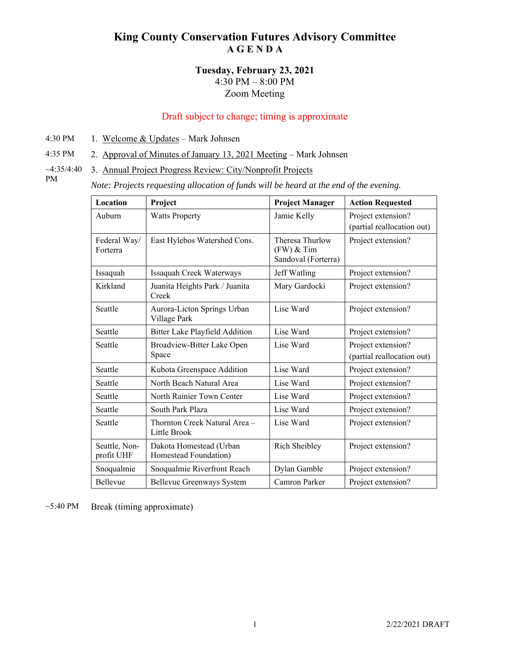# **King County Conservation Futures Advisory Committee A G E N D A**

#### **Tuesday, February 23, 2021**  4:30 PM – 8:00 PM Zoom Meeting

## Draft subject to change; timing is approximate

- 4:30 PM 1. Welcome  $&$  Updates Mark Johnsen
- 4:35 PM 2. Approval of Minutes of January 13, 2021 Meeting Mark Johnsen
- $~1.35/4:40$ PM 3. Annual Project Progress Review: City/Nonprofit Projects
	- *Note: Projects requesting allocation of funds will be heard at the end of the evening.*

| Location                    | Project                                          | <b>Project Manager</b>                                 | <b>Action Requested</b>                          |
|-----------------------------|--------------------------------------------------|--------------------------------------------------------|--------------------------------------------------|
| Auburn                      | <b>Watts Property</b>                            | Jamie Kelly                                            | Project extension?                               |
|                             |                                                  |                                                        | (partial reallocation out)                       |
| Federal Way/<br>Forterra    | East Hylebos Watershed Cons.                     | Theresa Thurlow<br>$(FW)$ & Tim<br>Sandoval (Forterra) | Project extension?                               |
| Issaquah                    | Issaquah Creek Waterways                         | Jeff Watling                                           | Project extension?                               |
| Kirkland                    | Juanita Heights Park / Juanita<br>Creek          | Mary Gardocki                                          | Project extension?                               |
| Seattle                     | Aurora-Licton Springs Urban<br>Village Park      | Lise Ward                                              | Project extension?                               |
| Seattle                     | Bitter Lake Playfield Addition                   | Lise Ward                                              | Project extension?                               |
| Seattle                     | Broadview-Bitter Lake Open<br>Space              | Lise Ward                                              | Project extension?<br>(partial reallocation out) |
| Seattle                     | Kubota Greenspace Addition                       | Lise Ward                                              | Project extension?                               |
| Seattle                     | North Beach Natural Area                         | Lise Ward                                              | Project extension?                               |
| Seattle                     | North Rainier Town Center                        | Lise Ward                                              | Project extension?                               |
| Seattle                     | South Park Plaza                                 | Lise Ward                                              | Project extension?                               |
| Seattle                     | Thornton Creek Natural Area-<br>Little Brook     | Lise Ward                                              | Project extension?                               |
| Seattle, Non-<br>profit UHF | Dakota Homestead (Urban<br>Homestead Foundation) | Rich Sheibley                                          | Project extension?                               |
| Snoqualmie                  | Snoqualmie Riverfront Reach                      | Dylan Gamble                                           | Project extension?                               |
| <b>Bellevue</b>             | Bellevue Greenways System                        | Camron Parker                                          | Project extension?                               |

~5:40 PM Break (timing approximate)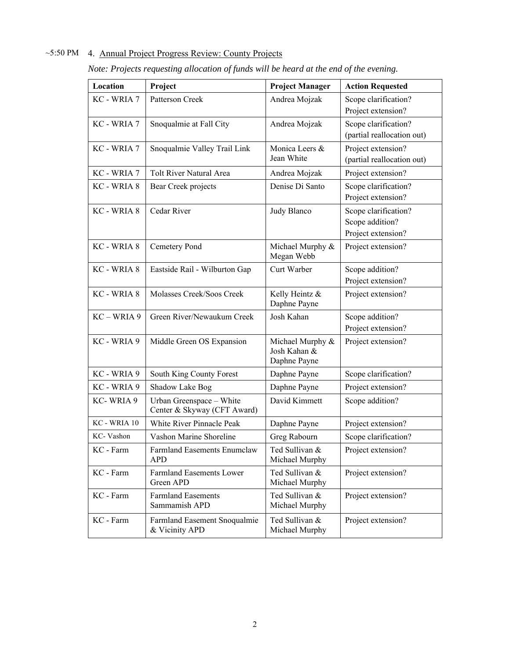## ~5:50 PM 4. Annual Project Progress Review: County Projects

| Location     | Project                                                 | <b>Project Manager</b>                           | <b>Action Requested</b>                                       |
|--------------|---------------------------------------------------------|--------------------------------------------------|---------------------------------------------------------------|
| KC - WRIA 7  | Patterson Creek                                         | Andrea Mojzak                                    | Scope clarification?<br>Project extension?                    |
| KC - WRIA 7  | Snoqualmie at Fall City                                 | Andrea Mojzak                                    | Scope clarification?<br>(partial reallocation out)            |
| KC - WRIA 7  | Snoqualmie Valley Trail Link                            | Monica Leers &<br>Jean White                     | Project extension?<br>(partial reallocation out)              |
| KC - WRIA 7  | <b>Tolt River Natural Area</b>                          | Andrea Mojzak                                    | Project extension?                                            |
| KC - WRIA 8  | Bear Creek projects                                     | Denise Di Santo                                  | Scope clarification?<br>Project extension?                    |
| KC - WRIA 8  | Cedar River                                             | Judy Blanco                                      | Scope clarification?<br>Scope addition?<br>Project extension? |
| KC - WRIA 8  | Cemetery Pond                                           | Michael Murphy &<br>Megan Webb                   | Project extension?                                            |
| KC - WRIA 8  | Eastside Rail - Wilburton Gap                           | Curt Warber                                      | Scope addition?<br>Project extension?                         |
| KC - WRIA 8  | Molasses Creek/Soos Creek                               | Kelly Heintz &<br>Daphne Payne                   | Project extension?                                            |
| KC - WRIA 9  | Green River/Newaukum Creek                              | Josh Kahan                                       | Scope addition?<br>Project extension?                         |
| KC - WRIA 9  | Middle Green OS Expansion                               | Michael Murphy &<br>Josh Kahan &<br>Daphne Payne | Project extension?                                            |
| KC - WRIA 9  | South King County Forest                                | Daphne Payne                                     | Scope clarification?                                          |
| KC - WRIA 9  | Shadow Lake Bog                                         | Daphne Payne                                     | Project extension?                                            |
| KC-WRIA 9    | Urban Greenspace - White<br>Center & Skyway (CFT Award) | David Kimmett                                    | Scope addition?                                               |
| KC - WRIA 10 | White River Pinnacle Peak                               | Daphne Payne                                     | Project extension?                                            |
| KC-Vashon    | Vashon Marine Shoreline                                 | Greg Rabourn                                     | Scope clarification?                                          |
| KC - Farm    | Farmland Easements Enumclaw<br><b>APD</b>               | Ted Sullivan &<br>Michael Murphy                 | Project extension?                                            |
| KC - Farm    | <b>Farmland Easements Lower</b><br>Green APD            | Ted Sullivan &<br>Michael Murphy                 | Project extension?                                            |
| KC - Farm    | <b>Farmland Easements</b><br>Sammamish APD              | Ted Sullivan &<br>Michael Murphy                 | Project extension?                                            |
| KC - Farm    | Farmland Easement Snoqualmie<br>& Vicinity APD          | Ted Sullivan &<br>Michael Murphy                 | Project extension?                                            |

*Note: Projects requesting allocation of funds will be heard at the end of the evening.*